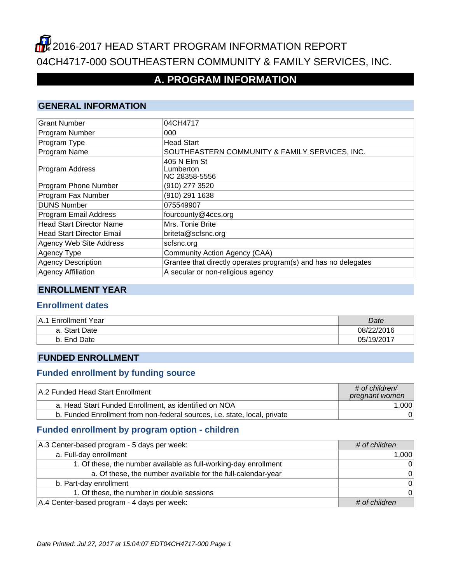# **2016-2017 HEAD START PROGRAM INFORMATION REPORT** 04CH4717-000 SOUTHEASTERN COMMUNITY & FAMILY SERVICES, INC.

## **A. PROGRAM INFORMATION**

#### **GENERAL INFORMATION**

| <b>Grant Number</b>              | 04CH4717                                                       |
|----------------------------------|----------------------------------------------------------------|
| Program Number                   | 000                                                            |
| Program Type                     | <b>Head Start</b>                                              |
| Program Name                     | SOUTHEASTERN COMMUNITY & FAMILY SERVICES, INC.                 |
| Program Address                  | 405 N Elm St<br>Lumberton<br>NC 28358-5556                     |
| Program Phone Number             | (910) 277 3520                                                 |
| Program Fax Number               | (910) 291 1638                                                 |
| <b>DUNS Number</b>               | 075549907                                                      |
| Program Email Address            | fourcounty@4ccs.org                                            |
| <b>Head Start Director Name</b>  | Mrs. Tonie Brite                                               |
| <b>Head Start Director Email</b> | briteta@scfsnc.org                                             |
| Agency Web Site Address          | scfsnc.org                                                     |
| <b>Agency Type</b>               | Community Action Agency (CAA)                                  |
| <b>Agency Description</b>        | Grantee that directly operates program(s) and has no delegates |
| <b>Agency Affiliation</b>        | A secular or non-religious agency                              |

#### **ENROLLMENT YEAR**

#### **Enrollment dates**

| <b>Enrollment Year</b><br>⊦A.1 | Date       |
|--------------------------------|------------|
| a. Start Date                  | 08/22/2016 |
| Date<br>End<br>D.              | 05/19/2017 |

#### **FUNDED ENROLLMENT**

#### **Funded enrollment by funding source**

| A.2 Funded Head Start Enrollment                                          | $\#$ of children/<br>pregnant women |
|---------------------------------------------------------------------------|-------------------------------------|
| a. Head Start Funded Enrollment, as identified on NOA                     | 1,000                               |
| b. Funded Enrollment from non-federal sources, i.e. state, local, private |                                     |

## **Funded enrollment by program option - children**

| A.3 Center-based program - 5 days per week:                      | # of children |
|------------------------------------------------------------------|---------------|
| a. Full-day enrollment                                           | 1,000         |
| 1. Of these, the number available as full-working-day enrollment | $\Omega$      |
| a. Of these, the number available for the full-calendar-year     | $\Omega$      |
| b. Part-day enrollment                                           | $\Omega$      |
| 1. Of these, the number in double sessions                       | $\Omega$      |
| A.4 Center-based program - 4 days per week:                      | # of children |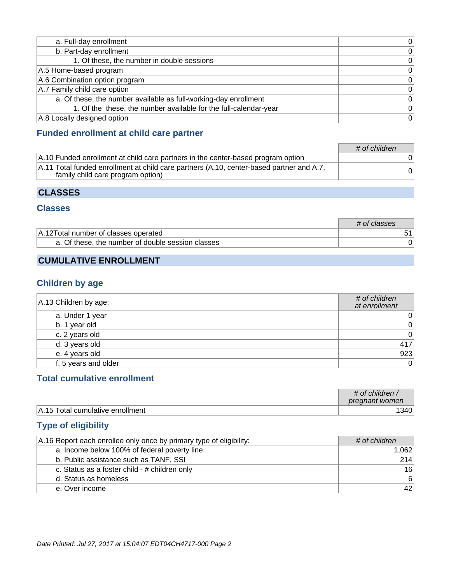| a. Full-day enrollment                                           | 0              |
|------------------------------------------------------------------|----------------|
| b. Part-day enrollment                                           | 0              |
| 1. Of these, the number in double sessions                       | 0 <sup>1</sup> |
| A.5 Home-based program                                           | $\Omega$       |
| A.6 Combination option program                                   | $\Omega$       |
| A.7 Family child care option                                     | $\Omega$       |
| a. Of these, the number available as full-working-day enrollment | $\Omega$       |
| 1. Of the these, the number available for the full-calendar-year | 0              |
| A.8 Locally designed option                                      | 0              |

### **Funded enrollment at child care partner**

|                                                                                                                               | # of children |
|-------------------------------------------------------------------------------------------------------------------------------|---------------|
| A.10 Funded enrollment at child care partners in the center-based program option                                              |               |
| A.11 Total funded enrollment at child care partners (A.10, center-based partner and A.7,<br>family child care program option) |               |

### **CLASSES**

#### **Classes**

|                                                   | # of classes |
|---------------------------------------------------|--------------|
| A.12 Total number of classes operated             |              |
| a. Of these, the number of double session classes |              |

## **CUMULATIVE ENROLLMENT**

### **Children by age**

| A.13 Children by age: | # of children<br>at enrollment |
|-----------------------|--------------------------------|
| a. Under 1 year       | $0^{\circ}$                    |
| b. 1 year old         | 0                              |
| c. 2 years old        | 0                              |
| d. 3 years old        | 417                            |
| e. 4 years old        | 923                            |
| f. 5 years and older  | 0                              |

## **Total cumulative enrollment**

|                                  | $\#$ of children<br>pregnant women |
|----------------------------------|------------------------------------|
| A.15 Total cumulative enrollment | <b>340</b>                         |

## **Type of eligibility**

| A.16 Report each enrollee only once by primary type of eligibility: | # of children |
|---------------------------------------------------------------------|---------------|
| a. Income below 100% of federal poverty line                        | 1.062         |
| b. Public assistance such as TANF, SSI                              | 214           |
| c. Status as a foster child - # children only                       | 16            |
| d. Status as homeless                                               | $6 \mid$      |
| e. Over income                                                      | 42            |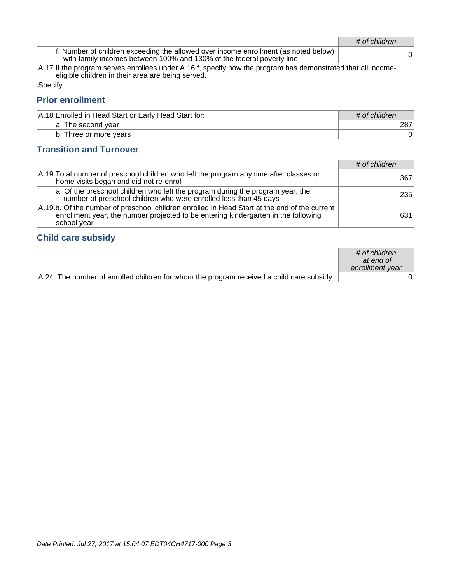# of children

f. Number of children exceeding the allowed over income enrollment (as noted below) with family incomes between 100% and 130% of the federal poverty line <sup>0</sup>

A.17 If the program serves enrollees under A.16.f, specify how the program has demonstrated that all incomeeligible children in their area are being served.

Specify:

#### **Prior enrollment**

| A.18 Enrolled in Head Start or Early Head Start for: | # of children |
|------------------------------------------------------|---------------|
| a. The second year                                   |               |
| b. Three or more years                               |               |

#### **Transition and Turnover**

|                                                                                                                                                                                                   | # of children |
|---------------------------------------------------------------------------------------------------------------------------------------------------------------------------------------------------|---------------|
| A.19 Total number of preschool children who left the program any time after classes or<br>home visits began and did not re-enroll                                                                 | 367           |
| a. Of the preschool children who left the program during the program year, the<br>number of preschool children who were enrolled less than 45 days                                                | 235           |
| A.19.b. Of the number of preschool children enrolled in Head Start at the end of the current<br>enrollment year, the number projected to be entering kindergarten in the following<br>school year | 631           |

#### **Child care subsidy**

|                                                                                          | $\#$ of children<br>at end of<br>enrollment year |  |
|------------------------------------------------------------------------------------------|--------------------------------------------------|--|
| A.24. The number of enrolled children for whom the program received a child care subsidy |                                                  |  |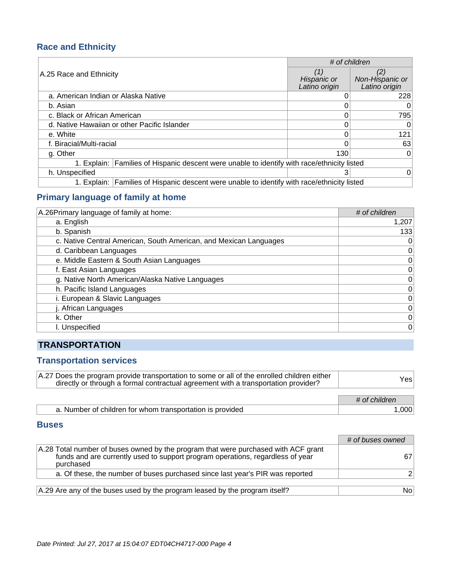## **Race and Ethnicity**

|                                                                                             | # of children                       |                                         |
|---------------------------------------------------------------------------------------------|-------------------------------------|-----------------------------------------|
| A.25 Race and Ethnicity                                                                     | (1)<br>Hispanic or<br>Latino origin | (2)<br>Non-Hispanic or<br>Latino origin |
| a. American Indian or Alaska Native                                                         |                                     | 228                                     |
| b. Asian                                                                                    |                                     | 0                                       |
| c. Black or African American                                                                |                                     | 795                                     |
| d. Native Hawaiian or other Pacific Islander                                                |                                     | 0                                       |
| e. White                                                                                    |                                     | 121                                     |
| f. Biracial/Multi-racial                                                                    |                                     | 63                                      |
| g. Other                                                                                    | 130                                 | 0                                       |
| 1. Explain: Families of Hispanic descent were unable to identify with race/ethnicity listed |                                     |                                         |
| h. Unspecified                                                                              | 3                                   | $\Omega$                                |
| 1. Explain: Families of Hispanic descent were unable to identify with race/ethnicity listed |                                     |                                         |

## **Primary language of family at home**

| A.26 Primary language of family at home:                          | # of children |
|-------------------------------------------------------------------|---------------|
| a. English                                                        | 1,207         |
| b. Spanish                                                        | 133           |
| c. Native Central American, South American, and Mexican Languages | 0             |
| d. Caribbean Languages                                            | 0             |
| e. Middle Eastern & South Asian Languages                         | $\mathbf 0$   |
| f. East Asian Languages                                           | $\mathbf 0$   |
| g. Native North American/Alaska Native Languages                  | 0             |
| h. Pacific Island Languages                                       | $\mathbf 0$   |
| i. European & Slavic Languages                                    | $\mathbf 0$   |
| j. African Languages                                              | $\mathbf 0$   |
| k. Other                                                          | $\mathbf 0$   |
| I. Unspecified                                                    | 0             |

## **TRANSPORTATION**

#### **Transportation services**

| A.27 Does the program provide transportation to some or all of the enrolled children either<br>directly or through a formal contractual agreement with a transportation provider? | Yesl          |
|-----------------------------------------------------------------------------------------------------------------------------------------------------------------------------------|---------------|
|                                                                                                                                                                                   | # of children |
| a. Number of children for whom transportation is provided                                                                                                                         | 1.000         |

#### **Buses**

|                                                                                                                                                                                   | # of buses owned |
|-----------------------------------------------------------------------------------------------------------------------------------------------------------------------------------|------------------|
| A.28 Total number of buses owned by the program that were purchased with ACF grant<br>funds and are currently used to support program operations, regardless of year<br>purchased |                  |
| a. Of these, the number of buses purchased since last year's PIR was reported                                                                                                     |                  |
| A.29 Are any of the buses used by the program leased by the program itself?                                                                                                       | No!              |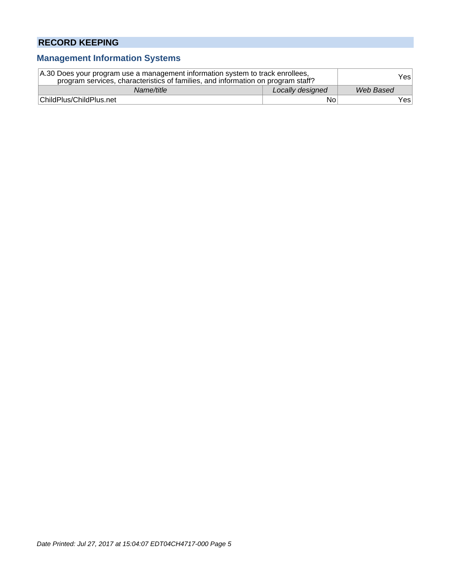## **RECORD KEEPING**

## **Management Information Systems**

| A.30 Does your program use a management information system to track enrollees,<br>program services, characteristics of families, and information on program staff? |                  | Yesl      |
|--------------------------------------------------------------------------------------------------------------------------------------------------------------------|------------------|-----------|
| Name/title                                                                                                                                                         | Locally designed | Web Based |
| ChildPlus/ChildPlus.net                                                                                                                                            | No               | Yes⊺      |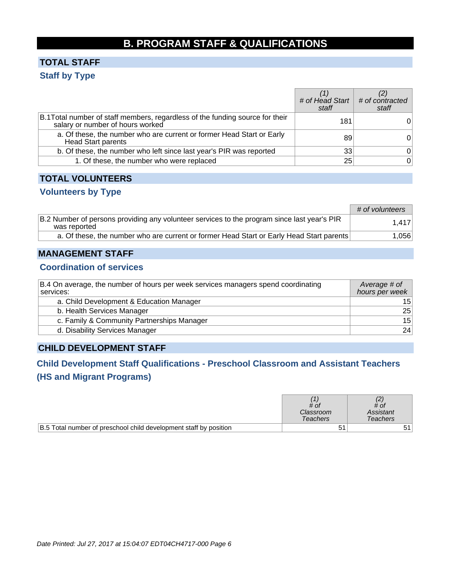# **B. PROGRAM STAFF & QUALIFICATIONS**

## **TOTAL STAFF Staff by Type**

|                                                                                                                   | # of Head Start $\mid$ # of contracted<br>staff | staff          |
|-------------------------------------------------------------------------------------------------------------------|-------------------------------------------------|----------------|
| B.1 Total number of staff members, regardless of the funding source for their<br>salary or number of hours worked | 181                                             |                |
| a. Of these, the number who are current or former Head Start or Early<br><b>Head Start parents</b>                | 89                                              | 0              |
| b. Of these, the number who left since last year's PIR was reported                                               | 33                                              | 0              |
| 1. Of these, the number who were replaced                                                                         | 25                                              | $\overline{0}$ |

#### **TOTAL VOLUNTEERS**

#### **Volunteers by Type**

|                                                                                                             | # of volunteers |
|-------------------------------------------------------------------------------------------------------------|-----------------|
| B.2 Number of persons providing any volunteer services to the program since last year's PIR<br>was reported | 1.417           |
| a. Of these, the number who are current or former Head Start or Early Head Start parents                    | 1,056           |

#### **MANAGEMENT STAFF**

#### **Coordination of services**

| B.4 On average, the number of hours per week services managers spend coordinating<br>services: | Average # of<br>hours per week |
|------------------------------------------------------------------------------------------------|--------------------------------|
| a. Child Development & Education Manager                                                       | 15 <sub>1</sub>                |
| b. Health Services Manager                                                                     | 25                             |
| c. Family & Community Partnerships Manager                                                     | 15                             |
| d. Disability Services Manager                                                                 | 24                             |

### **CHILD DEVELOPMENT STAFF**

## **Child Development Staff Qualifications - Preschool Classroom and Assistant Teachers (HS and Migrant Programs)**

|                                                                   | # of<br>Classroom<br>Teachers | # of<br>Assistant<br>Teachers |
|-------------------------------------------------------------------|-------------------------------|-------------------------------|
| B.5 Total number of preschool child development staff by position | 5 <sup>1</sup>                |                               |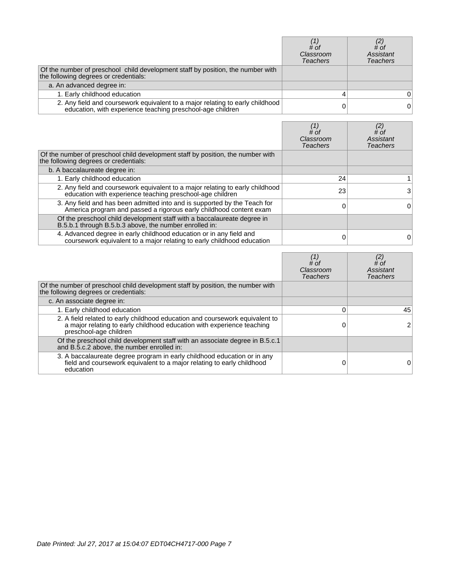|                                                                                                                                             | # of<br>Classroom<br>Teachers | $\begin{smallmatrix} (2) \ \# \text{ of } \end{smallmatrix}$<br>Assistant<br>Teachers |
|---------------------------------------------------------------------------------------------------------------------------------------------|-------------------------------|---------------------------------------------------------------------------------------|
| Of the number of preschool child development staff by position, the number with<br>the following degrees or credentials:                    |                               |                                                                                       |
| a. An advanced degree in:                                                                                                                   |                               |                                                                                       |
| 1. Early childhood education                                                                                                                |                               |                                                                                       |
| 2. Any field and coursework equivalent to a major relating to early childhood<br>education, with experience teaching preschool-age children |                               | 0                                                                                     |

|                                                                                                                                                 | # of<br>Classroom<br>Teachers | (2)<br># of<br>Assistant<br>Teachers |
|-------------------------------------------------------------------------------------------------------------------------------------------------|-------------------------------|--------------------------------------|
| Of the number of preschool child development staff by position, the number with<br>the following degrees or credentials:                        |                               |                                      |
| b. A baccalaureate degree in:                                                                                                                   |                               |                                      |
| 1. Early childhood education                                                                                                                    | 24                            |                                      |
| 2. Any field and coursework equivalent to a major relating to early childhood<br>education with experience teaching preschool-age children      | 23                            | 3                                    |
| 3. Any field and has been admitted into and is supported by the Teach for<br>America program and passed a rigorous early childhood content exam |                               | 0                                    |
| Of the preschool child development staff with a baccalaureate degree in<br>B.5.b.1 through B.5.b.3 above, the number enrolled in:               |                               |                                      |
| 4. Advanced degree in early childhood education or in any field and<br>coursework equivalent to a major relating to early childhood education   |                               |                                      |

|                                                                                                                                                                                  | $#$ of<br>Classroom<br><b>Teachers</b> | $^{(2)}_{\# \text{of}}$<br>Assistant<br><b>Teachers</b> |
|----------------------------------------------------------------------------------------------------------------------------------------------------------------------------------|----------------------------------------|---------------------------------------------------------|
| Of the number of preschool child development staff by position, the number with<br>the following degrees or credentials:                                                         |                                        |                                                         |
| c. An associate degree in:                                                                                                                                                       |                                        |                                                         |
| 1. Early childhood education                                                                                                                                                     |                                        | 45                                                      |
| 2. A field related to early childhood education and coursework equivalent to<br>a major relating to early childhood education with experience teaching<br>preschool-age children |                                        |                                                         |
| Of the preschool child development staff with an associate degree in B.5.c.1<br>and B.5.c.2 above, the number enrolled in:                                                       |                                        |                                                         |
| 3. A baccalaureate degree program in early childhood education or in any field and coursework equivalent to a major relating to early childhood<br>education                     |                                        |                                                         |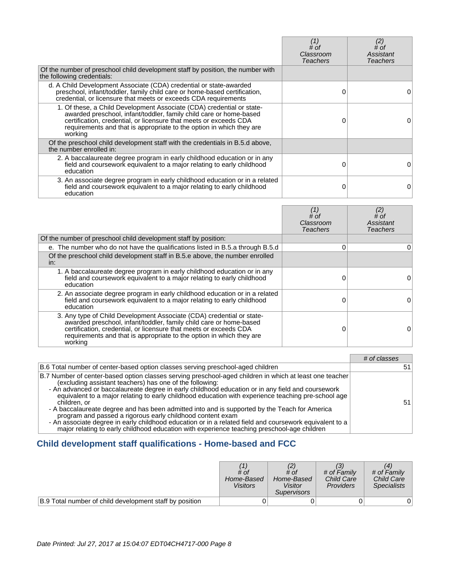|                                                                                                                                                                                                                                                                                                     | (1)<br># of<br>Classroom<br>Teachers | (2)<br># of<br>Assistant<br>Teachers |
|-----------------------------------------------------------------------------------------------------------------------------------------------------------------------------------------------------------------------------------------------------------------------------------------------------|--------------------------------------|--------------------------------------|
| Of the number of preschool child development staff by position, the number with<br>the following credentials:                                                                                                                                                                                       |                                      |                                      |
| d. A Child Development Associate (CDA) credential or state-awarded<br>preschool, infant/toddler, family child care or home-based certification,<br>credential, or licensure that meets or exceeds CDA requirements                                                                                  | 0                                    |                                      |
| 1. Of these, a Child Development Associate (CDA) credential or state-<br>awarded preschool, infant/toddler, family child care or home-based<br>certification, credential, or licensure that meets or exceeds CDA<br>requirements and that is appropriate to the option in which they are<br>working |                                      |                                      |
| Of the preschool child development staff with the credentials in B.5.d above,<br>the number enrolled in:                                                                                                                                                                                            |                                      |                                      |
| 2. A baccalaureate degree program in early childhood education or in any<br>field and coursework equivalent to a major relating to early childhood<br>education                                                                                                                                     | 0                                    |                                      |
| 3. An associate degree program in early childhood education or in a related<br>field and coursework equivalent to a major relating to early childhood<br>education                                                                                                                                  | 0                                    | O                                    |

|                                                                                                                                                                                                                                                                                                     | $#$ of<br>Classroom<br><b>Teachers</b> | (2)<br># of<br>Assistant<br>Teachers |
|-----------------------------------------------------------------------------------------------------------------------------------------------------------------------------------------------------------------------------------------------------------------------------------------------------|----------------------------------------|--------------------------------------|
| Of the number of preschool child development staff by position:                                                                                                                                                                                                                                     |                                        |                                      |
| e. The number who do not have the qualifications listed in B.5.a through B.5.d                                                                                                                                                                                                                      | O                                      | 0                                    |
| Of the preschool child development staff in B.5.e above, the number enrolled<br>in:                                                                                                                                                                                                                 |                                        |                                      |
| 1. A baccalaureate degree program in early childhood education or in any<br>field and coursework equivalent to a major relating to early childhood<br>education                                                                                                                                     |                                        |                                      |
| 2. An associate degree program in early childhood education or in a related<br>field and coursework equivalent to a major relating to early childhood<br>education                                                                                                                                  |                                        |                                      |
| 3. Any type of Child Development Associate (CDA) credential or state-<br>awarded preschool, infant/toddler, family child care or home-based<br>certification, credential, or licensure that meets or exceeds CDA<br>requirements and that is appropriate to the option in which they are<br>working |                                        |                                      |

|                                                                                                                                                                                                                                                                                                                                                                                                                                                                                                                                                                                                                                                                                                                                                                          | # of classes |
|--------------------------------------------------------------------------------------------------------------------------------------------------------------------------------------------------------------------------------------------------------------------------------------------------------------------------------------------------------------------------------------------------------------------------------------------------------------------------------------------------------------------------------------------------------------------------------------------------------------------------------------------------------------------------------------------------------------------------------------------------------------------------|--------------|
| B.6 Total number of center-based option classes serving preschool-aged children                                                                                                                                                                                                                                                                                                                                                                                                                                                                                                                                                                                                                                                                                          |              |
| B.7 Number of center-based option classes serving preschool-aged children in which at least one teacher<br>(excluding assistant teachers) has one of the following:<br>- An advanced or baccalaureate degree in early childhood education or in any field and coursework<br>equivalent to a major relating to early childhood education with experience teaching pre-school age<br>children, or<br>- A baccalaureate degree and has been admitted into and is supported by the Teach for America<br>program and passed a rigorous early childhood content exam<br>- An associate degree in early childhood education or in a related field and coursework equivalent to a<br>major relating to early childhood education with experience teaching preschool-age children | 51           |

# **Child development staff qualifications - Home-based and FCC**

|                                                         | # of<br>Home-Based<br><b>Visitors</b> | # of<br>Home-Based<br>Visitor<br><i>Supervisors</i> | # of Family<br><b>Child Care</b><br><b>Providers</b> | # of Family<br><b>Child Care</b><br><b>Specialists</b> |
|---------------------------------------------------------|---------------------------------------|-----------------------------------------------------|------------------------------------------------------|--------------------------------------------------------|
| B.9 Total number of child development staff by position |                                       |                                                     |                                                      |                                                        |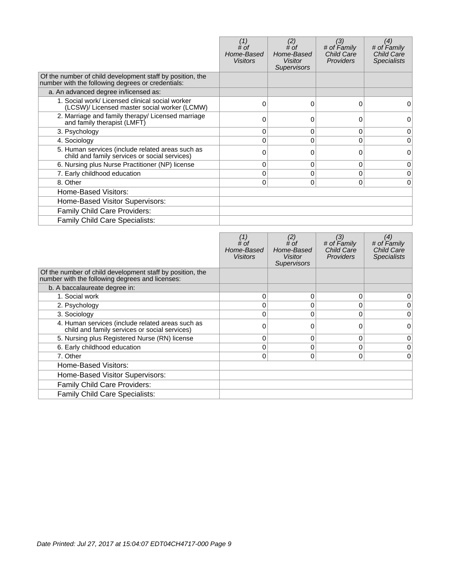|                                                                                                                | # of<br>Home-Based<br><b>Visitors</b> | (2)<br>$#$ of<br>Home-Based<br><b>Visitor</b><br><b>Supervisors</b> | (3)<br># of Family<br><b>Child Care</b><br><b>Providers</b> | (4)<br># of Family<br>Child Care<br><b>Specialists</b> |
|----------------------------------------------------------------------------------------------------------------|---------------------------------------|---------------------------------------------------------------------|-------------------------------------------------------------|--------------------------------------------------------|
| Of the number of child development staff by position, the<br>number with the following degrees or credentials: |                                       |                                                                     |                                                             |                                                        |
| a. An advanced degree in/licensed as:                                                                          |                                       |                                                                     |                                                             |                                                        |
| 1. Social work/ Licensed clinical social worker<br>(LCSW)/ Licensed master social worker (LCMW)                | 0                                     | $\Omega$                                                            | 0                                                           | 0                                                      |
| 2. Marriage and family therapy/ Licensed marriage<br>and family therapist (LMFT)                               |                                       |                                                                     | 0                                                           | 0                                                      |
| 3. Psychology                                                                                                  | 0                                     | 0                                                                   | 0                                                           | 0                                                      |
| 4. Sociology                                                                                                   |                                       | $\Omega$                                                            | $\Omega$                                                    | 0                                                      |
| 5. Human services (include related areas such as<br>child and family services or social services)              | 0                                     | 0                                                                   | $\Omega$                                                    | $\Omega$                                               |
| 6. Nursing plus Nurse Practitioner (NP) license                                                                | 0                                     | 0                                                                   | 0                                                           | 0                                                      |
| 7. Early childhood education                                                                                   | 0                                     | 0                                                                   | $\Omega$                                                    | 0                                                      |
| 8. Other                                                                                                       | 0                                     | $\Omega$                                                            | 0                                                           | 0                                                      |
| Home-Based Visitors:                                                                                           |                                       |                                                                     |                                                             |                                                        |
| Home-Based Visitor Supervisors:                                                                                |                                       |                                                                     |                                                             |                                                        |
| Family Child Care Providers:                                                                                   |                                       |                                                                     |                                                             |                                                        |
| Family Child Care Specialists:                                                                                 |                                       |                                                                     |                                                             |                                                        |

|                                                                                                              | # of<br>Home-Based<br><b>Visitors</b> | (2)<br># of<br>Home-Based<br><b>Visitor</b><br><b>Supervisors</b> | (3)<br># of Family<br><b>Child Care</b><br><b>Providers</b> | (4)<br># of Family<br><b>Child Care</b><br><b>Specialists</b> |
|--------------------------------------------------------------------------------------------------------------|---------------------------------------|-------------------------------------------------------------------|-------------------------------------------------------------|---------------------------------------------------------------|
| Of the number of child development staff by position, the<br>number with the following degrees and licenses: |                                       |                                                                   |                                                             |                                                               |
| b. A baccalaureate degree in:                                                                                |                                       |                                                                   |                                                             |                                                               |
| 1. Social work                                                                                               | $\Omega$                              | 0                                                                 | 0                                                           | 0                                                             |
| 2. Psychology                                                                                                | 0                                     | 0                                                                 | 0                                                           | 0                                                             |
| 3. Sociology                                                                                                 | $\Omega$                              | 0                                                                 | $\Omega$                                                    | 0                                                             |
| 4. Human services (include related areas such as<br>child and family services or social services)            | O                                     |                                                                   | 0                                                           | 0                                                             |
| 5. Nursing plus Registered Nurse (RN) license                                                                | $\Omega$                              | 0                                                                 | $\Omega$                                                    | 0                                                             |
| 6. Early childhood education                                                                                 | 0                                     | 0                                                                 | $\Omega$                                                    | 0                                                             |
| 7. Other                                                                                                     | 0                                     | 0                                                                 | $\Omega$                                                    | 0                                                             |
| Home-Based Visitors:                                                                                         |                                       |                                                                   |                                                             |                                                               |
| Home-Based Visitor Supervisors:                                                                              |                                       |                                                                   |                                                             |                                                               |
| Family Child Care Providers:                                                                                 |                                       |                                                                   |                                                             |                                                               |
| Family Child Care Specialists:                                                                               |                                       |                                                                   |                                                             |                                                               |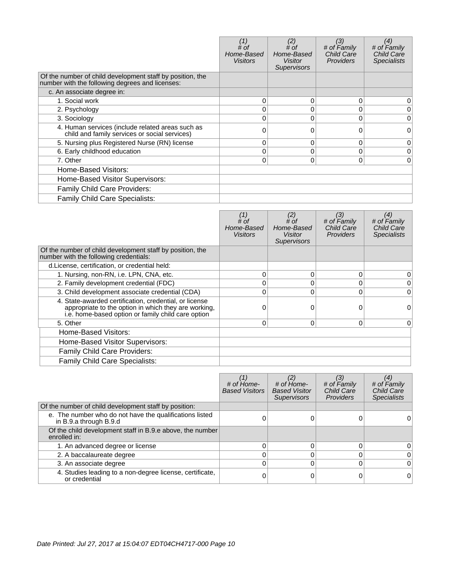|                                                                                                              | # of<br>Home-Based<br><b>Visitors</b> | (2)<br>$#$ of<br>Home-Based<br>Visitor<br><b>Supervisors</b> | (3)<br># of Family<br><b>Child Care</b><br><b>Providers</b> | (4)<br># of Family<br><b>Child Care</b><br><b>Specialists</b> |
|--------------------------------------------------------------------------------------------------------------|---------------------------------------|--------------------------------------------------------------|-------------------------------------------------------------|---------------------------------------------------------------|
| Of the number of child development staff by position, the<br>number with the following degrees and licenses: |                                       |                                                              |                                                             |                                                               |
| c. An associate degree in:                                                                                   |                                       |                                                              |                                                             |                                                               |
| 1. Social work                                                                                               | $\Omega$                              | 0                                                            | $\Omega$                                                    | 0                                                             |
| 2. Psychology                                                                                                |                                       | 0                                                            | 0                                                           | 0                                                             |
| 3. Sociology                                                                                                 | 0                                     | 0                                                            | 0                                                           | 0                                                             |
| 4. Human services (include related areas such as<br>child and family services or social services)            | 0                                     | O                                                            | 0                                                           | 0                                                             |
| 5. Nursing plus Registered Nurse (RN) license                                                                | 0                                     | 0                                                            | $\mathbf{0}$                                                | 0                                                             |
| 6. Early childhood education                                                                                 | 0                                     | 0                                                            | $\mathbf 0$                                                 | 0                                                             |
| 7. Other                                                                                                     | 0                                     | 0                                                            | 0                                                           | $\Omega$                                                      |
| Home-Based Visitors:                                                                                         |                                       |                                                              |                                                             |                                                               |
| Home-Based Visitor Supervisors:                                                                              |                                       |                                                              |                                                             |                                                               |
| Family Child Care Providers:                                                                                 |                                       |                                                              |                                                             |                                                               |
| <b>Family Child Care Specialists:</b>                                                                        |                                       |                                                              |                                                             |                                                               |

|                                                                                                                                                                      | # of<br>Home-Based<br>Visitors | (2)<br># of<br>Home-Based<br>Visitor<br><b>Supervisors</b> | (3)<br># of Family<br><b>Child Care</b><br><b>Providers</b> | (4)<br># of Family<br><b>Child Care</b><br><b>Specialists</b> |
|----------------------------------------------------------------------------------------------------------------------------------------------------------------------|--------------------------------|------------------------------------------------------------|-------------------------------------------------------------|---------------------------------------------------------------|
| Of the number of child development staff by position, the<br>number with the following credentials:                                                                  |                                |                                                            |                                                             |                                                               |
| d. License, certification, or credential held:                                                                                                                       |                                |                                                            |                                                             |                                                               |
| 1. Nursing, non-RN, i.e. LPN, CNA, etc.                                                                                                                              | 0                              | 0                                                          | 0                                                           | 0                                                             |
| 2. Family development credential (FDC)                                                                                                                               |                                | $\Omega$                                                   | 0                                                           | 0                                                             |
| 3. Child development associate credential (CDA)                                                                                                                      |                                | $\Omega$                                                   | 0                                                           | $\Omega$                                                      |
| 4. State-awarded certification, credential, or license<br>appropriate to the option in which they are working,<br>i.e. home-based option or family child care option |                                | $\Omega$                                                   | 0                                                           | 0                                                             |
| 5. Other                                                                                                                                                             | 0                              | 0                                                          | 0                                                           | $\overline{0}$                                                |
| Home-Based Visitors:                                                                                                                                                 |                                |                                                            |                                                             |                                                               |
| Home-Based Visitor Supervisors:                                                                                                                                      |                                |                                                            |                                                             |                                                               |
| <b>Family Child Care Providers:</b>                                                                                                                                  |                                |                                                            |                                                             |                                                               |
| Family Child Care Specialists:                                                                                                                                       |                                |                                                            |                                                             |                                                               |

|                                                                                   | # of Home-<br><b>Based Visitors</b> | (2)<br># of Home-<br><b>Based Visitor</b><br><b>Supervisors</b> | (3)<br># of Family<br><b>Child Care</b><br><b>Providers</b> | (4)<br># of Family<br>Child Care<br><b>Specialists</b> |
|-----------------------------------------------------------------------------------|-------------------------------------|-----------------------------------------------------------------|-------------------------------------------------------------|--------------------------------------------------------|
| Of the number of child development staff by position:                             |                                     |                                                                 |                                                             |                                                        |
| e. The number who do not have the qualifications listed<br>in B.9.a through B.9.d |                                     |                                                                 |                                                             |                                                        |
| Of the child development staff in B.9.e above, the number<br>enrolled in:         |                                     |                                                                 |                                                             |                                                        |
| 1. An advanced degree or license                                                  |                                     |                                                                 | O                                                           | 0                                                      |
| 2. A baccalaureate degree                                                         |                                     |                                                                 | 0                                                           | $\Omega$                                               |
| 3. An associate degree                                                            |                                     |                                                                 | 0                                                           | $\Omega$                                               |
| 4. Studies leading to a non-degree license, certificate,<br>or credential         |                                     |                                                                 |                                                             | $\Omega$                                               |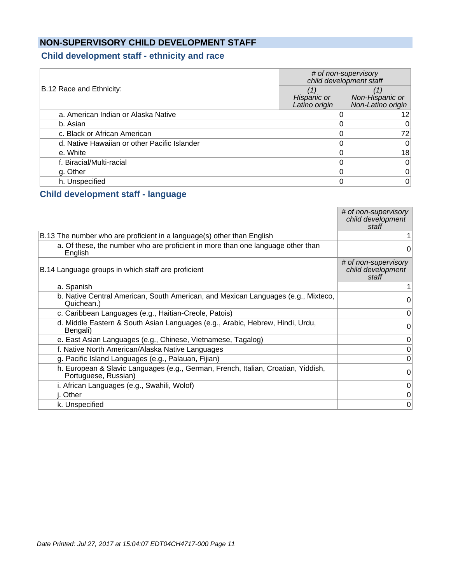## **NON-SUPERVISORY CHILD DEVELOPMENT STAFF**

## **Child development staff - ethnicity and race**

|                                              | # of non-supervisory<br>child development staff |                                      |  |  |
|----------------------------------------------|-------------------------------------------------|--------------------------------------|--|--|
| B.12 Race and Ethnicity:                     | Hispanic or<br>Latino origin                    | Non-Hispanic or<br>Non-Latino origin |  |  |
| a. American Indian or Alaska Native          |                                                 | 12.                                  |  |  |
| b. Asian                                     |                                                 | 0                                    |  |  |
| c. Black or African American                 |                                                 | 72                                   |  |  |
| d. Native Hawaiian or other Pacific Islander |                                                 | 0                                    |  |  |
| e. White                                     |                                                 | 18                                   |  |  |
| f. Biracial/Multi-racial                     |                                                 | 0                                    |  |  |
| g. Other                                     |                                                 | 0                                    |  |  |
| h. Unspecified                               |                                                 | 0                                    |  |  |

#### **Child development staff - language**

|                                                                                                           | # of non-supervisory<br>child development<br>staff |
|-----------------------------------------------------------------------------------------------------------|----------------------------------------------------|
| B.13 The number who are proficient in a language(s) other than English                                    |                                                    |
| a. Of these, the number who are proficient in more than one language other than<br>English                | 0                                                  |
| B.14 Language groups in which staff are proficient                                                        | # of non-supervisory<br>child development<br>staff |
| a. Spanish                                                                                                |                                                    |
| b. Native Central American, South American, and Mexican Languages (e.g., Mixteco,<br>Quichean.)           | 0                                                  |
| c. Caribbean Languages (e.g., Haitian-Creole, Patois)                                                     | 0                                                  |
| d. Middle Eastern & South Asian Languages (e.g., Arabic, Hebrew, Hindi, Urdu,<br>Bengali)                 | 0                                                  |
| e. East Asian Languages (e.g., Chinese, Vietnamese, Tagalog)                                              | 0                                                  |
| f. Native North American/Alaska Native Languages                                                          | 0                                                  |
| g. Pacific Island Languages (e.g., Palauan, Fijian)                                                       | 0                                                  |
| h. European & Slavic Languages (e.g., German, French, Italian, Croatian, Yiddish,<br>Portuguese, Russian) | 0                                                  |
| i. African Languages (e.g., Swahili, Wolof)                                                               | 0                                                  |
| j. Other                                                                                                  | 0                                                  |
| k. Unspecified                                                                                            | 0                                                  |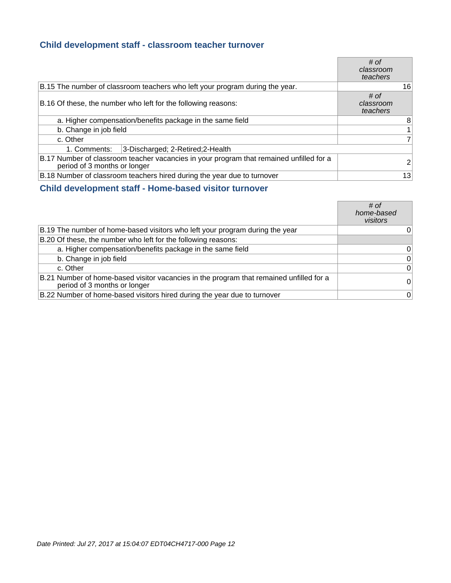#### **Child development staff - classroom teacher turnover**

|                                                                                                                         |                                                                              | # of<br>classroom<br>teachers |
|-------------------------------------------------------------------------------------------------------------------------|------------------------------------------------------------------------------|-------------------------------|
|                                                                                                                         | B.15 The number of classroom teachers who left your program during the year. | 16                            |
|                                                                                                                         | B.16 Of these, the number who left for the following reasons:                | # of<br>classroom<br>teachers |
|                                                                                                                         | a. Higher compensation/benefits package in the same field                    | 8                             |
| b. Change in job field                                                                                                  |                                                                              | 1                             |
| c. Other                                                                                                                |                                                                              | $\overline{7}$                |
| 1. Comments:                                                                                                            | 3-Discharged; 2-Retired; 2-Health                                            |                               |
| B.17 Number of classroom teacher vacancies in your program that remained unfilled for a<br>period of 3 months or longer |                                                                              | $\overline{2}$                |
|                                                                                                                         | B.18 Number of classroom teachers hired during the year due to turnover      | 13                            |

## **Child development staff - Home-based visitor turnover**

|                                                                                                                         | # of<br>home-based<br>visitors |
|-------------------------------------------------------------------------------------------------------------------------|--------------------------------|
| B.19 The number of home-based visitors who left your program during the year                                            | 0                              |
| B.20 Of these, the number who left for the following reasons:                                                           |                                |
| a. Higher compensation/benefits package in the same field                                                               | 0                              |
| b. Change in job field                                                                                                  | 0                              |
| c. Other                                                                                                                | $\Omega$                       |
| B.21 Number of home-based visitor vacancies in the program that remained unfilled for a<br>period of 3 months or longer | $\Omega$                       |
| B.22 Number of home-based visitors hired during the year due to turnover                                                | 0                              |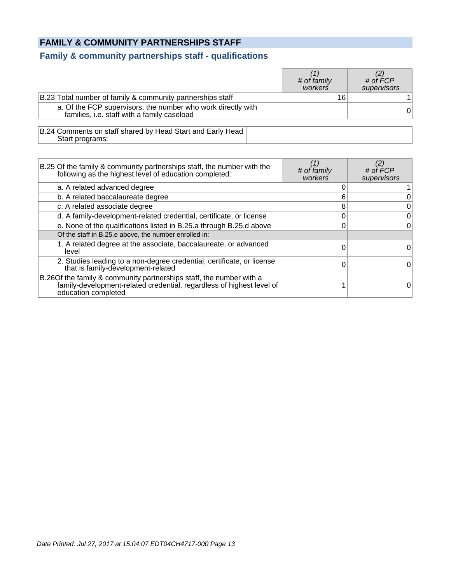### **FAMILY & COMMUNITY PARTNERSHIPS STAFF**

#### **Family & community partnerships staff - qualifications**

|                                                                                                             | # of family<br>workers | # of $\acute{F}CP$<br>supervisors |
|-------------------------------------------------------------------------------------------------------------|------------------------|-----------------------------------|
| B.23 Total number of family & community partnerships staff                                                  | 16                     |                                   |
| a. Of the FCP supervisors, the number who work directly with<br>families, i.e. staff with a family caseload |                        | 0                                 |
| B.24 Comments on staff shared by Head Start and Early Head<br>Start programs:                               |                        |                                   |

B.25 Of the family & community partnerships staff, the number with the following as the highest level of education completed: (1) # of family workers (2) # of FCP supervisors a. A related advanced degree  $\begin{array}{ccc} 1 & 0 & 0 \\ 0 & 1 & 1 \end{array}$ b. A related baccalaureate degree 6 0 c. A related associate degree  $\begin{array}{ccc} 8 & 8 & 0 \end{array}$ d. A family-development-related credential, certificate, or license 0 0 e. None of the qualifications listed in B.25.a through B.25.d above 0 0 Of the staff in B.25.e above, the number enrolled in: 1. A related degree at the associate, baccalaureate, or advanced level <sup>0</sup> <sup>0</sup> 2. Studies leading to a non-degree credential, certificate, or license Studies leading to a non-degree credential, certificate, or license<br>that is family-development-related  $0$ B.26 Of the family & community partnerships staff, the number with a family-development-related credential, regardless of highest level of education completed  $\begin{array}{ccc} 1 & & & 0 \end{array}$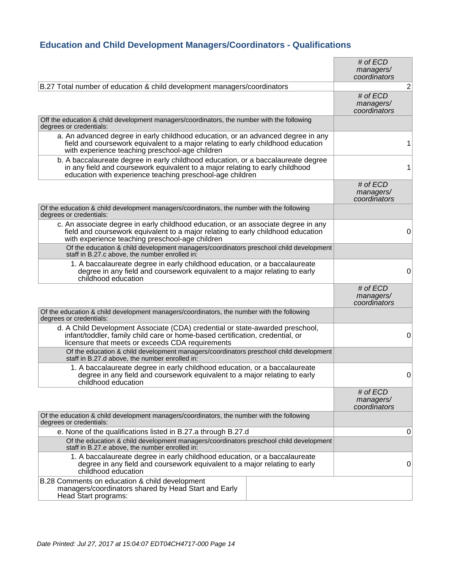## **Education and Child Development Managers/Coordinators - Qualifications**

|                                                                                                                                                                                                                                 | # of $ECD$<br>managers/<br>coordinators   |                |
|---------------------------------------------------------------------------------------------------------------------------------------------------------------------------------------------------------------------------------|-------------------------------------------|----------------|
| B.27 Total number of education & child development managers/coordinators                                                                                                                                                        |                                           | $\overline{2}$ |
|                                                                                                                                                                                                                                 | $#$ of $ECD$<br>managers/<br>coordinators |                |
| Off the education & child development managers/coordinators, the number with the following<br>degrees or credentials:                                                                                                           |                                           |                |
| a. An advanced degree in early childhood education, or an advanced degree in any<br>field and course work equivalent to a major relating to early childhood education<br>with experience teaching preschool-age children        |                                           | 1              |
| b. A baccalaureate degree in early childhood education, or a baccalaureate degree<br>in any field and coursework equivalent to a major relating to early childhood<br>education with experience teaching preschool-age children |                                           | 1              |
|                                                                                                                                                                                                                                 | # of $ECD$<br>managers/<br>coordinators   |                |
| Of the education & child development managers/coordinators, the number with the following<br>degrees or credentials:                                                                                                            |                                           |                |
| c. An associate degree in early childhood education, or an associate degree in any<br>field and coursework equivalent to a major relating to early childhood education<br>with experience teaching preschool-age children       |                                           | 0              |
| Of the education & child development managers/coordinators preschool child development<br>staff in B.27.c above, the number enrolled in:                                                                                        |                                           |                |
| 1. A baccalaureate degree in early childhood education, or a baccalaureate<br>degree in any field and coursework equivalent to a major relating to early<br>childhood education                                                 |                                           | 0              |
|                                                                                                                                                                                                                                 | # of $ECD$<br>managers/<br>coordinators   |                |
| Of the education & child development managers/coordinators, the number with the following<br>degrees or credentials:                                                                                                            |                                           |                |
| d. A Child Development Associate (CDA) credential or state-awarded preschool,<br>infant/toddler, family child care or home-based certification, credential, or<br>licensure that meets or exceeds CDA requirements              |                                           | 0              |
| Of the education & child development managers/coordinators preschool child development<br>staff in B.27.d above, the number enrolled in:                                                                                        |                                           |                |
| 1. A baccalaureate degree in early childhood education, or a baccalaureate<br>degree in any field and coursework equivalent to a major relating to early<br>childhood education                                                 |                                           | 0              |
|                                                                                                                                                                                                                                 | # of ECD<br>managers/<br>coordinators     |                |
| Of the education & child development managers/coordinators, the number with the following<br>degrees or credentials:                                                                                                            |                                           |                |
| e. None of the qualifications listed in B.27.a through B.27.d                                                                                                                                                                   |                                           | 0              |
| Of the education & child development managers/coordinators preschool child development<br>staff in B.27.e above, the number enrolled in:                                                                                        |                                           |                |
| 1. A baccalaureate degree in early childhood education, or a baccalaureate<br>degree in any field and coursework equivalent to a major relating to early<br>childhood education                                                 |                                           | 0              |
| B.28 Comments on education & child development<br>managers/coordinators shared by Head Start and Early<br>Head Start programs:                                                                                                  |                                           |                |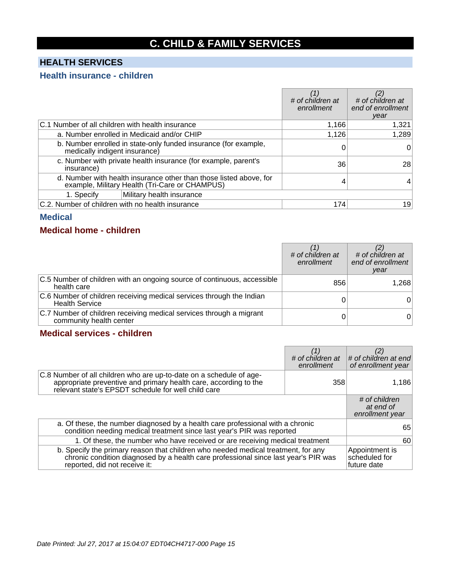# **C. CHILD & FAMILY SERVICES**

## **HEALTH SERVICES**

#### **Health insurance - children**

|                                                                                                                      |                                                                 | # of children at<br>enrollment | # of children at<br>end of enrollment<br>year |
|----------------------------------------------------------------------------------------------------------------------|-----------------------------------------------------------------|--------------------------------|-----------------------------------------------|
| C.1 Number of all children with health insurance                                                                     |                                                                 | 1,166                          | 1,321                                         |
|                                                                                                                      | a. Number enrolled in Medicaid and/or CHIP                      | 1,126                          | 1,289                                         |
| medically indigent insurance)                                                                                        | b. Number enrolled in state-only funded insurance (for example, |                                | 0                                             |
| insurance)                                                                                                           | c. Number with private health insurance (for example, parent's  | 36                             | 28                                            |
| d. Number with health insurance other than those listed above, for<br>example, Military Health (Tri-Care or CHAMPUS) |                                                                 |                                |                                               |
| 1. Specify                                                                                                           | Military health insurance                                       |                                |                                               |
| C.2. Number of children with no health insurance                                                                     |                                                                 | 174                            | 19                                            |

#### **Medical**

#### **Medical home - children**

|                                                                                                | # of children at<br>enrollment | # of children at<br>end of enrollment<br>year |
|------------------------------------------------------------------------------------------------|--------------------------------|-----------------------------------------------|
| C.5 Number of children with an ongoing source of continuous, accessible<br>health care         | 856                            | 1,268                                         |
| C.6 Number of children receiving medical services through the Indian<br><b>Health Service</b>  |                                | 0                                             |
| C.7 Number of children receiving medical services through a migrant<br>community health center |                                | 0                                             |

## **Medical services - children**

|                                                                                                                                                                                                           | # of children at<br>enrollment | (2)<br># of children at end<br>of enrollment year |
|-----------------------------------------------------------------------------------------------------------------------------------------------------------------------------------------------------------|--------------------------------|---------------------------------------------------|
| C.8 Number of all children who are up-to-date on a schedule of age-<br>appropriate preventive and primary health care, according to the relevant state's EPSDT schedule for well child care               | 358                            | 1,186                                             |
|                                                                                                                                                                                                           |                                | # of children<br>at end of<br>enrollment year     |
| a. Of these, the number diagnosed by a health care professional with a chronic<br>condition needing medical treatment since last year's PIR was reported                                                  |                                | 65                                                |
| 1. Of these, the number who have received or are receiving medical treatment                                                                                                                              |                                | 60                                                |
| b. Specify the primary reason that children who needed medical treatment, for any<br>chronic condition diagnosed by a health care professional since last year's PIR was<br>reported, did not receive it: |                                | Appointment is<br>scheduled for<br>future date    |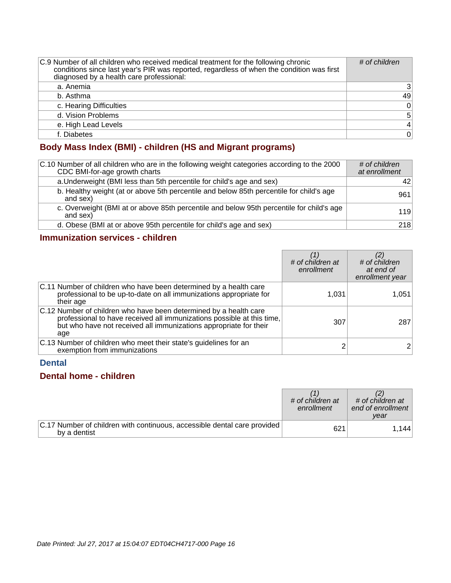| C.9 Number of all children who received medical treatment for the following chronic<br>conditions since last year's PIR was reported, regardless of when the condition was first<br>diagnosed by a health care professional: | # of children  |
|------------------------------------------------------------------------------------------------------------------------------------------------------------------------------------------------------------------------------|----------------|
| a. Anemia                                                                                                                                                                                                                    | 3              |
| b. Asthma                                                                                                                                                                                                                    | 49             |
| c. Hearing Difficulties                                                                                                                                                                                                      | $\mathbf 0$    |
| d. Vision Problems                                                                                                                                                                                                           | 5              |
| e. High Lead Levels                                                                                                                                                                                                          | $\overline{4}$ |
| f. Diabetes                                                                                                                                                                                                                  | $\Omega$       |

## **Body Mass Index (BMI) - children (HS and Migrant programs)**

| C.10 Number of all children who are in the following weight categories according to the 2000<br>CDC BMI-for-age growth charts | # of children<br>at enrollment |
|-------------------------------------------------------------------------------------------------------------------------------|--------------------------------|
| a. Underweight (BMI less than 5th percentile for child's age and sex)                                                         | 42.                            |
| b. Healthy weight (at or above 5th percentile and below 85th percentile for child's age<br>and sex)                           | 961                            |
| c. Overweight (BMI at or above 85th percentile and below 95th percentile for child's age<br>and sex)                          | 119                            |
| d. Obese (BMI at or above 95th percentile for child's age and sex)                                                            | 218                            |

## **Immunization services - children**

|                                                                                                                                                                                                                         | # of children at<br>enrollment | # of children<br>at end of<br>enrollment year |
|-------------------------------------------------------------------------------------------------------------------------------------------------------------------------------------------------------------------------|--------------------------------|-----------------------------------------------|
| C.11 Number of children who have been determined by a health care<br>professional to be up-to-date on all immunizations appropriate for<br>their age                                                                    | 1,031                          | 1.051                                         |
| C.12 Number of children who have been determined by a health care<br>professional to have received all immunizations possible at this time,<br>but who have not received all immunizations appropriate for their<br>age | 307                            | 287                                           |
| C.13 Number of children who meet their state's guidelines for an<br>exemption from immunizations                                                                                                                        |                                |                                               |

### **Dental**

## **Dental home - children**

|                                                                                          | # of children at<br>enrollment | # of children at<br>end of enrollment<br>vear |
|------------------------------------------------------------------------------------------|--------------------------------|-----------------------------------------------|
| C.17 Number of children with continuous, accessible dental care provided<br>by a dentist | 621                            | 1.144                                         |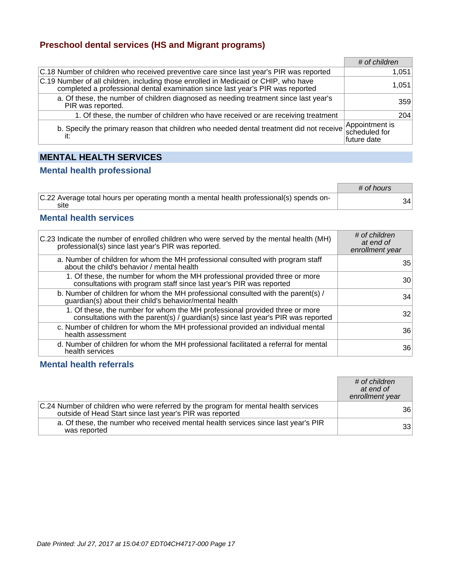### **Preschool dental services (HS and Migrant programs)**

|                                                                                                                                                                       | # of children |       |
|-----------------------------------------------------------------------------------------------------------------------------------------------------------------------|---------------|-------|
| C.18 Number of children who received preventive care since last year's PIR was reported                                                                               |               | 1,051 |
| C.19 Number of all children, including those enrolled in Medicaid or CHIP, who have<br>completed a professional dental examination since last year's PIR was reported |               | 1,051 |
| a. Of these, the number of children diagnosed as needing treatment since last year's<br>PIR was reported.                                                             |               | 359   |
| 1. Of these, the number of children who have received or are receiving treatment                                                                                      |               | 204   |
| b. Specify the primary reason that children who needed dental treatment did not receive Appointment is                                                                | future date   |       |

## **MENTAL HEALTH SERVICES**

#### **Mental health professional**

|                                                                                                 | # of hours |    |
|-------------------------------------------------------------------------------------------------|------------|----|
| C.22 Average total hours per operating month a mental health professional(s) spends on-<br>site |            | 34 |

#### **Mental health services**

| C.23 Indicate the number of enrolled children who were served by the mental health (MH)<br>professional(s) since last year's PIR was reported.                   | # of children<br>at end of<br>enrollment year |
|------------------------------------------------------------------------------------------------------------------------------------------------------------------|-----------------------------------------------|
| a. Number of children for whom the MH professional consulted with program staff<br>about the child's behavior / mental health                                    | 35                                            |
| 1. Of these, the number for whom the MH professional provided three or more<br>consultations with program staff since last year's PIR was reported               | 30                                            |
| b. Number of children for whom the MH professional consulted with the parent(s) /<br>guardian(s) about their child's behavior/mental health                      | 34                                            |
| 1. Of these, the number for whom the MH professional provided three or more<br>consultations with the parent(s) / guardian(s) since last year's PIR was reported | 32                                            |
| c. Number of children for whom the MH professional provided an individual mental<br>health assessment                                                            | 36                                            |
| d. Number of children for whom the MH professional facilitated a referral for mental<br>health services                                                          | 36                                            |

### **Mental health referrals**

|                                                                                                                                                 | # of children<br>at end of<br>enrollment year |
|-------------------------------------------------------------------------------------------------------------------------------------------------|-----------------------------------------------|
| C.24 Number of children who were referred by the program for mental health services<br>outside of Head Start since last year's PIR was reported | 36 <sup>1</sup>                               |
| a. Of these, the number who received mental health services since last year's PIR<br>was reported                                               | 33 <sup>1</sup>                               |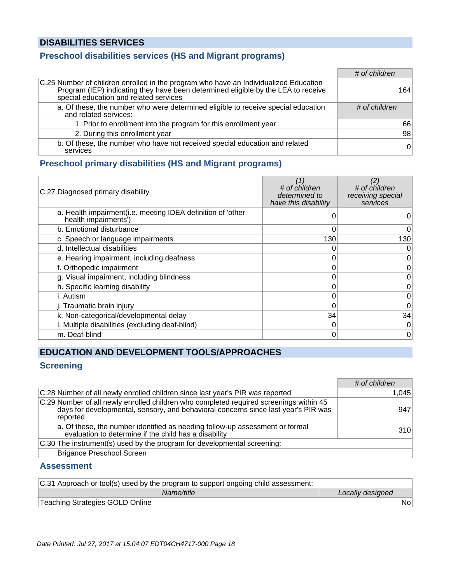## **DISABILITIES SERVICES**

## **Preschool disabilities services (HS and Migrant programs)**

|                                                                                                                                                                                                                     | # of children |
|---------------------------------------------------------------------------------------------------------------------------------------------------------------------------------------------------------------------|---------------|
| C.25 Number of children enrolled in the program who have an Individualized Education<br>Program (IEP) indicating they have been determined eligible by the LEA to receive<br>special education and related services | 164           |
| a. Of these, the number who were determined eligible to receive special education<br>and related services:                                                                                                          | # of children |
| 1. Prior to enrollment into the program for this enrollment year                                                                                                                                                    | 66            |
| 2. During this enrollment year                                                                                                                                                                                      | 98            |
| b. Of these, the number who have not received special education and related<br>services                                                                                                                             | $\Omega$      |

#### **Preschool primary disabilities (HS and Migrant programs)**

| C.27 Diagnosed primary disability                                                   | (1)<br># of children<br>determined to<br>have this disability | # of children<br>receiving special<br>services |
|-------------------------------------------------------------------------------------|---------------------------------------------------------------|------------------------------------------------|
| a. Health impairment(i.e. meeting IDEA definition of 'other<br>health impairments') |                                                               | O                                              |
| b. Emotional disturbance                                                            | 0                                                             | $\overline{0}$                                 |
| c. Speech or language impairments                                                   | 130                                                           | 130                                            |
| d. Intellectual disabilities                                                        |                                                               | 0                                              |
| e. Hearing impairment, including deafness                                           |                                                               | $\overline{0}$                                 |
| f. Orthopedic impairment                                                            | 0                                                             | 0                                              |
| g. Visual impairment, including blindness                                           | 0                                                             | 0                                              |
| h. Specific learning disability                                                     | 0                                                             | 0                                              |
| i. Autism                                                                           |                                                               | 0                                              |
| j. Traumatic brain injury                                                           |                                                               | 0                                              |
| k. Non-categorical/developmental delay                                              | 34                                                            | 34                                             |
| I. Multiple disabilities (excluding deaf-blind)                                     | 0                                                             | $\overline{0}$                                 |
| m. Deaf-blind                                                                       | 0                                                             | 0                                              |

## **EDUCATION AND DEVELOPMENT TOOLS/APPROACHES**

## **Screening**

|                                                                                                                                                                                          | # of children |
|------------------------------------------------------------------------------------------------------------------------------------------------------------------------------------------|---------------|
| C.28 Number of all newly enrolled children since last year's PIR was reported                                                                                                            | 1.045         |
| C.29 Number of all newly enrolled children who completed required screenings within 45<br>days for developmental, sensory, and behavioral concerns since last year's PIR was<br>reported | 947           |
| a. Of these, the number identified as needing follow-up assessment or formal<br>evaluation to determine if the child has a disability                                                    | 310           |
| C.30 The instrument(s) used by the program for developmental screening:                                                                                                                  |               |
| <b>Brigance Preschool Screen</b>                                                                                                                                                         |               |

#### **Assessment**

| C.31 Approach or tool(s) used by the program to support ongoing child assessment: |                  |
|-----------------------------------------------------------------------------------|------------------|
| Name/title                                                                        | Locally designed |
| Teaching Strategies GOLD Online                                                   | No.              |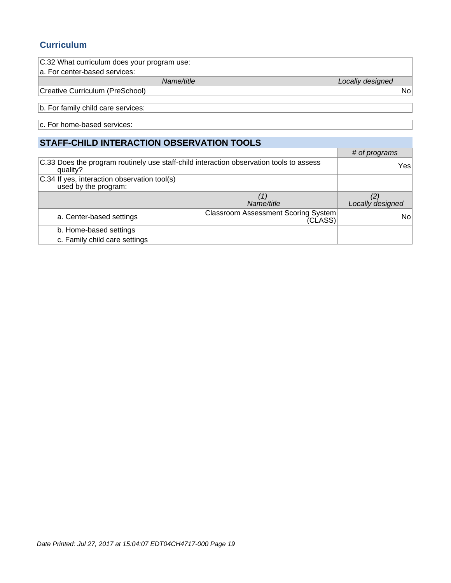## **Curriculum**

| C.32 What curriculum does your program use: |                  |
|---------------------------------------------|------------------|
| a. For center-based services:               |                  |
| Name/title                                  | Locally designed |
| Creative Curriculum (PreSchool)             | <b>No</b>        |
| b. For family child care services:          |                  |
| c. For home-based services:                 |                  |
| STAFF-CHILD INTERACTION OBSERVATION TOOLS   |                  |
|                                             | # of programs    |

|                                                                                         | # or programs    |
|-----------------------------------------------------------------------------------------|------------------|
| C.33 Does the program routinely use staff-child interaction observation tools to assess | Yesl             |
|                                                                                         |                  |
|                                                                                         |                  |
| Name/title                                                                              | Locally designed |
| <b>Classroom Assessment Scoring System</b><br>(CLASS)                                   | No               |
|                                                                                         |                  |
|                                                                                         |                  |
|                                                                                         |                  |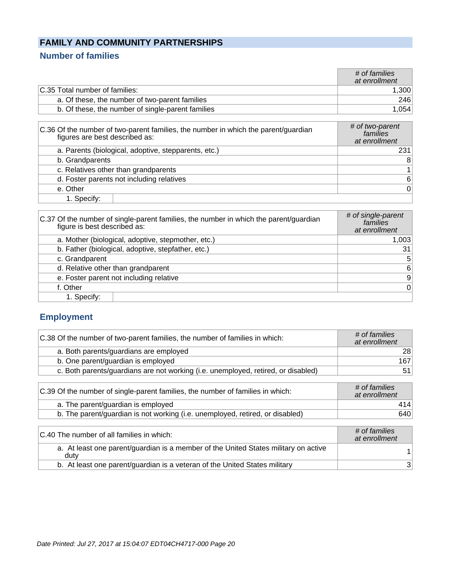## **FAMILY AND COMMUNITY PARTNERSHIPS**

## **Number of families**

|                                                                                                                      | # of families<br>at enrollment               |
|----------------------------------------------------------------------------------------------------------------------|----------------------------------------------|
| C.35 Total number of families:                                                                                       | 1,300                                        |
| a. Of these, the number of two-parent families                                                                       | 246                                          |
| b. Of these, the number of single-parent families                                                                    | 1,054                                        |
|                                                                                                                      |                                              |
| C.36 Of the number of two-parent families, the number in which the parent/guardian<br>figures are best described as: | # of two-parent<br>families<br>at enrollment |
| a. Parents (biological, adoptive, stepparents, etc.)                                                                 | 231                                          |
| b. Grandparents                                                                                                      | 8                                            |
| c. Relatives other than grandparents                                                                                 |                                              |
| d. Foster parents not including relatives                                                                            | 6                                            |
| e. Other                                                                                                             | 0                                            |

1. Specify:

| C.37 Of the number of single-parent families, the number in which the parent/guardian<br>figure is best described as: | # of single-parent<br>families<br>at enrollment |
|-----------------------------------------------------------------------------------------------------------------------|-------------------------------------------------|
| a. Mother (biological, adoptive, stepmother, etc.)                                                                    | 1,003                                           |
| b. Father (biological, adoptive, stepfather, etc.)                                                                    | 31 <sub>1</sub>                                 |
| c. Grandparent                                                                                                        | 5 <sup>2</sup>                                  |
| d. Relative other than grandparent                                                                                    | 6                                               |
| e. Foster parent not including relative                                                                               | 9                                               |
| f. Other                                                                                                              | 0                                               |
| 1. Specify:                                                                                                           |                                                 |

## **Employment**

| C.38 Of the number of two-parent families, the number of families in which:       | # of families<br>at enrollment |
|-----------------------------------------------------------------------------------|--------------------------------|
| a. Both parents/guardians are employed                                            | 28                             |
| b. One parent/guardian is employed                                                | 167                            |
| c. Both parents/guardians are not working (i.e. unemployed, retired, or disabled) | 51                             |
|                                                                                   |                                |
| C.39 Of the number of single-parent families, the number of families in which:    | # of families<br>at enrollment |
| a. The parent/guardian is employed                                                | 414                            |
| b. The parent/guardian is not working (i.e. unemployed, retired, or disabled)     | 640                            |
|                                                                                   |                                |
| C.40 The number of all families in which:                                         | # of families<br>at oprollmant |

| C.40 The number of all families in which:                                                   | <u>+ UN Idilillies</u><br>at enrollment |
|---------------------------------------------------------------------------------------------|-----------------------------------------|
| a. At least one parent/guardian is a member of the United States military on active<br>dutv |                                         |
| b. At least one parent/guardian is a veteran of the United States military                  |                                         |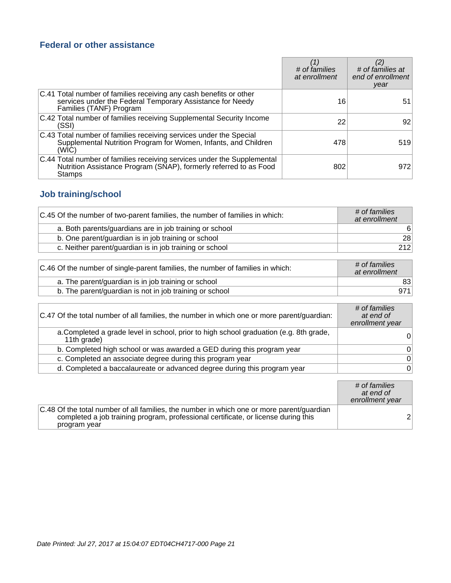## **Federal or other assistance**

|                                                                                                                                                            | # of families<br>at enrollment | # of families at<br>end of enrollment<br>year |
|------------------------------------------------------------------------------------------------------------------------------------------------------------|--------------------------------|-----------------------------------------------|
| C.41 Total number of families receiving any cash benefits or other<br>services under the Federal Temporary Assistance for Needy<br>Families (TANF) Program | 16                             | 51                                            |
| C.42 Total number of families receiving Supplemental Security Income<br>(SSI)                                                                              | 22                             | 92                                            |
| C.43 Total number of families receiving services under the Special<br>Supplemental Nutrition Program for Women, Infants, and Children<br>(WIC)             | 478                            | 519                                           |
| C.44 Total number of families receiving services under the Supplemental<br>Nutrition Assistance Program (SNAP), formerly referred to as Food<br>Stamps     | 802                            | 972                                           |

## **Job training/school**

| C.45 Of the number of two-parent families, the number of families in which: | # of families<br>at enrollment |
|-----------------------------------------------------------------------------|--------------------------------|
| a. Both parents/guardians are in job training or school                     | 6                              |
| b. One parent/guardian is in job training or school                         | 28                             |
| c. Neither parent/guardian is in job training or school                     | 212                            |

| C.46 Of the number of single-parent families, the number of families in which: | # of families<br>at enrollment |
|--------------------------------------------------------------------------------|--------------------------------|
| a. The parent/guardian is in job training or school                            | 83                             |
| b. The parent/guardian is not in job training or school                        | 971                            |

| C.47 Of the total number of all families, the number in which one or more parent/guardian:            | # of families<br>at end of<br>enrollment year |
|-------------------------------------------------------------------------------------------------------|-----------------------------------------------|
| a. Completed a grade level in school, prior to high school graduation (e.g. 8th grade,<br>11th grade) | 0                                             |
| b. Completed high school or was awarded a GED during this program year                                | 0                                             |
| c. Completed an associate degree during this program year                                             | $\Omega$                                      |
| d. Completed a baccalaureate or advanced degree during this program year                              | 0                                             |

|                                                                                                                                                                                                 | # of families<br>at end of<br>enrollment year |
|-------------------------------------------------------------------------------------------------------------------------------------------------------------------------------------------------|-----------------------------------------------|
| C.48 Of the total number of all families, the number in which one or more parent/guardian<br>completed a job training program, professional certificate, or license during this<br>program year | 2                                             |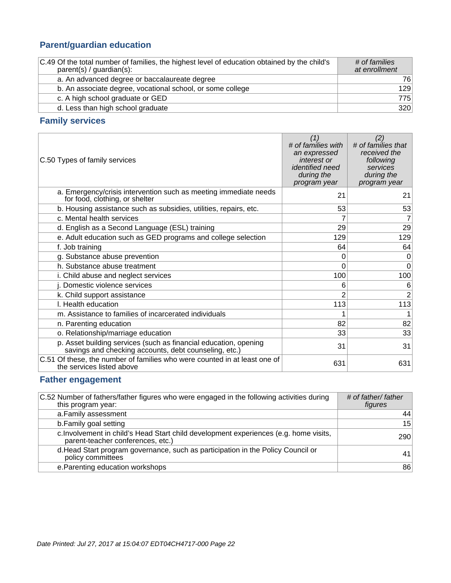## **Parent/guardian education**

| C.49 Of the total number of families, the highest level of education obtained by the child's<br>$parent(s) / quartian(s)$ : | # of families<br>at enrollment |
|-----------------------------------------------------------------------------------------------------------------------------|--------------------------------|
| a. An advanced degree or baccalaureate degree                                                                               | 761                            |
| b. An associate degree, vocational school, or some college                                                                  | 129                            |
| c. A high school graduate or GED                                                                                            | 775                            |
| d. Less than high school graduate                                                                                           | 320                            |

## **Family services**

| C.50 Types of family services                                                                                             | (1)<br># of families with<br>an expressed<br>interest or<br><i>identified need</i><br>during the<br>program year | (2)<br># of families that<br>received the<br>following<br>services<br>during the<br>program year |
|---------------------------------------------------------------------------------------------------------------------------|------------------------------------------------------------------------------------------------------------------|--------------------------------------------------------------------------------------------------|
| a. Emergency/crisis intervention such as meeting immediate needs<br>for food, clothing, or shelter                        | 21                                                                                                               | 21                                                                                               |
| b. Housing assistance such as subsidies, utilities, repairs, etc.                                                         | 53                                                                                                               | 53                                                                                               |
| c. Mental health services                                                                                                 | 7                                                                                                                | 7                                                                                                |
| d. English as a Second Language (ESL) training                                                                            | 29                                                                                                               | 29                                                                                               |
| e. Adult education such as GED programs and college selection                                                             | 129                                                                                                              | 129                                                                                              |
| f. Job training                                                                                                           | 64                                                                                                               | 64                                                                                               |
| g. Substance abuse prevention                                                                                             | 0                                                                                                                | 0                                                                                                |
| h. Substance abuse treatment                                                                                              | 0                                                                                                                | $\mathbf 0$                                                                                      |
| i. Child abuse and neglect services                                                                                       | 100                                                                                                              | 100                                                                                              |
| j. Domestic violence services                                                                                             | 6                                                                                                                | 6                                                                                                |
| k. Child support assistance                                                                                               | 2                                                                                                                | $\overline{2}$                                                                                   |
| I. Health education                                                                                                       | 113                                                                                                              | 113                                                                                              |
| m. Assistance to families of incarcerated individuals                                                                     |                                                                                                                  |                                                                                                  |
| n. Parenting education                                                                                                    | 82                                                                                                               | 82                                                                                               |
| o. Relationship/marriage education                                                                                        | 33                                                                                                               | 33                                                                                               |
| p. Asset building services (such as financial education, opening<br>savings and checking accounts, debt counseling, etc.) | 31                                                                                                               | 31                                                                                               |
| C.51 Of these, the number of families who were counted in at least one of<br>the services listed above                    | 631                                                                                                              | 631                                                                                              |

## **Father engagement**

| C.52 Number of fathers/father figures who were engaged in the following activities during<br>this program year:            | # of father/ father<br>figures |
|----------------------------------------------------------------------------------------------------------------------------|--------------------------------|
| a. Family assessment                                                                                                       | 44                             |
| b. Family goal setting                                                                                                     | 15                             |
| c. Involvement in child's Head Start child development experiences (e.g. home visits,<br>parent-teacher conferences, etc.) | 290                            |
| d. Head Start program governance, such as participation in the Policy Council or<br>policy committees                      | 41                             |
| e. Parenting education workshops                                                                                           | 86                             |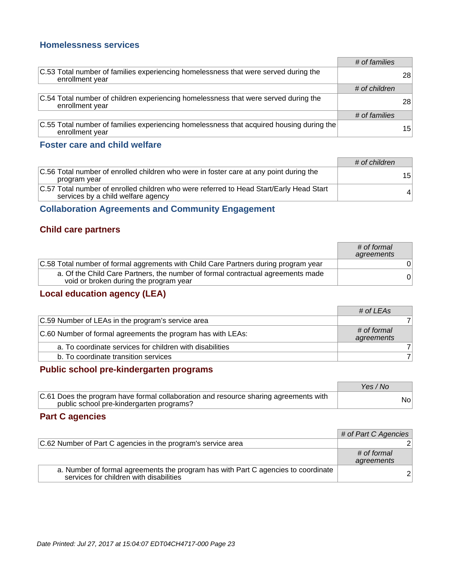#### **Homelessness services**

|                                                                                                                | # of families |    |
|----------------------------------------------------------------------------------------------------------------|---------------|----|
| C.53 Total number of families experiencing homelessness that were served during the<br>enrollment year         |               | 28 |
|                                                                                                                | # of children |    |
| C.54 Total number of children experiencing homelessness that were served during the<br>enrollment year         |               | 28 |
|                                                                                                                | # of families |    |
| $ C.55$ Total number of families experiencing homelessness that acquired housing during the<br>enrollment year |               | 15 |

#### **Foster care and child welfare**

|                                                                                                                               | # of children   |
|-------------------------------------------------------------------------------------------------------------------------------|-----------------|
| C.56 Total number of enrolled children who were in foster care at any point during the<br>program year                        | 15 <sup>1</sup> |
| C.57 Total number of enrolled children who were referred to Head Start/Early Head Start<br>services by a child welfare agency |                 |

## **Collaboration Agreements and Community Engagement**

### **Child care partners**

|                                                                                                                           | # of formal<br>agreements |
|---------------------------------------------------------------------------------------------------------------------------|---------------------------|
| C.58 Total number of formal aggrements with Child Care Partners during program year                                       |                           |
| a. Of the Child Care Partners, the number of formal contractual agreements made<br>void or broken during the program year | 0                         |

## **Local education agency (LEA)**

|                                                             | # of LEAs                 |
|-------------------------------------------------------------|---------------------------|
| C.59 Number of LEAs in the program's service area           |                           |
| C.60 Number of formal agreements the program has with LEAs: | # of formal<br>agreements |
| a. To coordinate services for children with disabilities    |                           |
| b. To coordinate transition services                        |                           |

### **Public school pre-kindergarten programs**

|                                                                                                                                  | Yes / No |
|----------------------------------------------------------------------------------------------------------------------------------|----------|
| C.61 Does the program have formal collaboration and resource sharing agreements with<br>public school pre-kindergarten programs? | Nol      |

#### **Part C agencies**

|                                                                                                                              | # of Part C Agencies      |
|------------------------------------------------------------------------------------------------------------------------------|---------------------------|
| C.62 Number of Part C agencies in the program's service area                                                                 |                           |
|                                                                                                                              | # of formal<br>agreements |
| a. Number of formal agreements the program has with Part C agencies to coordinate<br>services for children with disabilities |                           |